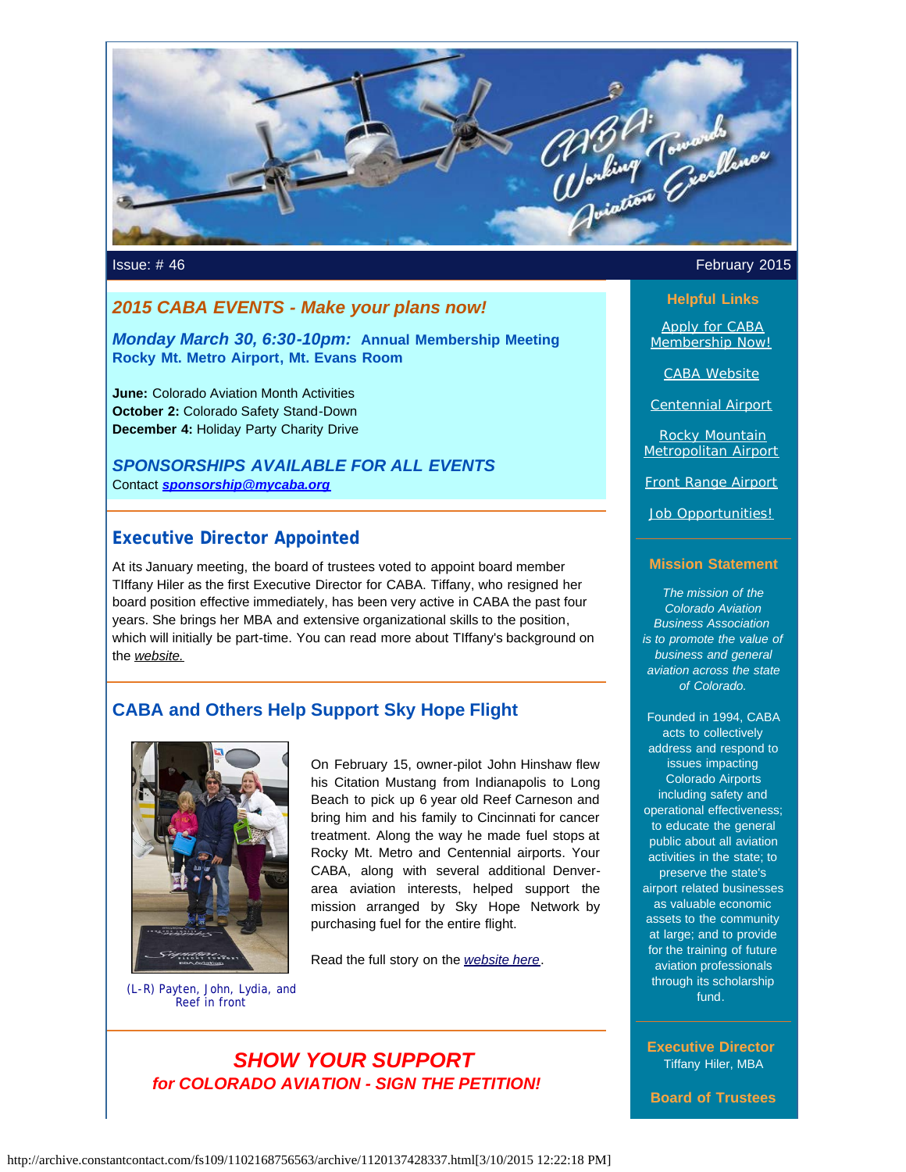

# *2015 CABA EVENTS - Make your plans now!*

*Monday March 30, 6:30-10pm:* **Annual Membership Meeting Rocky Mt. Metro Airport, Mt. Evans Room**

**June:** Colorado Aviation Month Activities **October 2:** Colorado Safety Stand-Down **December 4:** Holiday Party Charity Drive

*SPONSORSHIPS AVAILABLE FOR ALL EVENTS* Contact *[sponsorship@mycaba.org](mailto:sponsorship@mycaba.org)*

# **Executive Director Appointed**

At its January meeting, the board of trustees voted to appoint board member TIffany Hiler as the first Executive Director for CABA. Tiffany, who resigned her board position effective immediately, has been very active in CABA the past four years. She brings her MBA and extensive organizational skills to the position, which will initially be part-time. You can read more about TIffany's background on the *[website.](http://www.mycaba.org/?utm_source=Newsletter+February+2015&utm_campaign=February+2015+Newsletter&utm_medium=email)*

# **CABA and Others Help Support Sky Hope Flight**



On February 15, owner-pilot John Hinshaw flew his Citation Mustang from Indianapolis to Long Beach to pick up 6 year old Reef Carneson and bring him and his family to Cincinnati for cancer treatment. Along the way he made fuel stops at Rocky Mt. Metro and Centennial airports. Your CABA, along with several additional Denverarea aviation interests, helped support the mission arranged by Sky Hope Network by purchasing fuel for the entire flight.

Read the full story on the *[website here](http://www.mycaba.org/ColoNews?utm_source=Newsletter+February+2015&utm_campaign=February+2015+Newsletter&utm_medium=email)*.

(L-R) Payten, John, Lydia, and Reef in front

> *SHOW YOUR SUPPORT for COLORADO AVIATION - SIGN THE PETITION!*

## **Issue: #46** February 2015

## **Helpful Links**

[Apply for CABA](http://www.mycaba.org/application?utm_source=Newsletter+February+2015&utm_campaign=February+2015+Newsletter&utm_medium=email) [Membership Now!](http://www.mycaba.org/application?utm_source=Newsletter+February+2015&utm_campaign=February+2015+Newsletter&utm_medium=email)

[CABA Website](http://www.mycaba.org/?utm_source=Newsletter+February+2015&utm_campaign=February+2015+Newsletter&utm_medium=email)

[Centennial Airport](http://centennialairport.com/?utm_source=Newsletter+February+2015&utm_campaign=February+2015+Newsletter&utm_medium=email)

[Rocky Mountain](http://jeffco.us/airport/?utm_source=Newsletter+February+2015&utm_campaign=February+2015+Newsletter&utm_medium=email) [Metropolitan Airport](http://jeffco.us/airport/?utm_source=Newsletter+February+2015&utm_campaign=February+2015+Newsletter&utm_medium=email)

[Front Range Airport](http://www.ftg-airport.com/?utm_source=Newsletter+February+2015&utm_campaign=February+2015+Newsletter&utm_medium=email)

[Job Opportunities!](http://mycaba.org/JobOps?utm_source=Newsletter+February+2015&utm_campaign=February+2015+Newsletter&utm_medium=email)

#### **Mission Statement**

*The mission of the Colorado Aviation Business Association is to promote the value of business and general aviation across the state of Colorado.*

Founded in 1994, CABA acts to collectively address and respond to issues impacting Colorado Airports including safety and operational effectiveness; to educate the general public about all aviation activities in the state; to preserve the state's airport related businesses as valuable economic assets to the community at large; and to provide for the training of future aviation professionals through its scholarship fund.

**Executive Director** Tiffany Hiler, MBA

**Board of Trustees**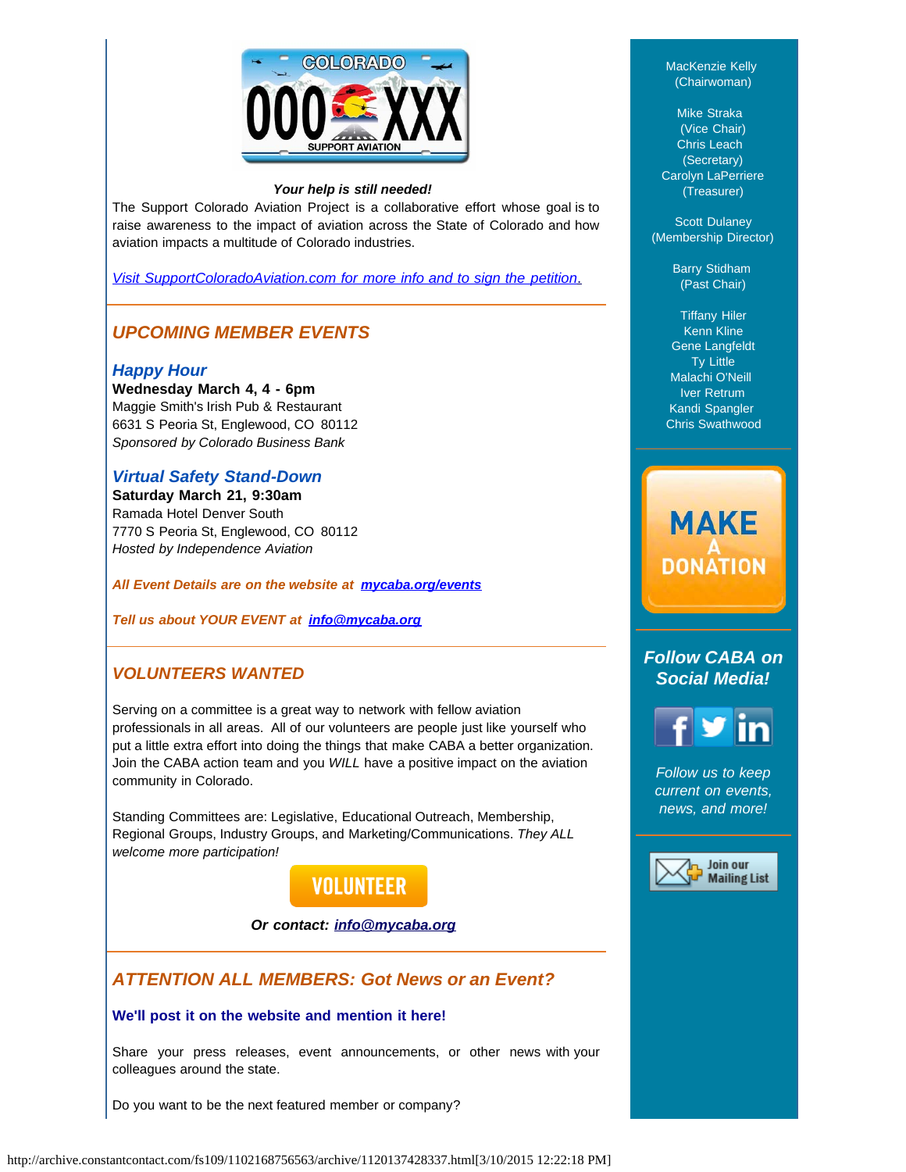

#### *Your help is still needed!*

The Support Colorado Aviation Project is a collaborative effort whose goal is to raise awareness to the impact of aviation across the State of Colorado and how aviation impacts a multitude of Colorado industries.

*[Visit SupportColoradoAviation.com for more info and to sign the petition](http://www.supportcoloradoaviation.com/?utm_source=Newsletter+February+2015&utm_campaign=February+2015+Newsletter&utm_medium=email)*[.](http://www.supportcoloradoaviation.com/?utm_source=Newsletter+February+2015&utm_campaign=February+2015+Newsletter&utm_medium=email)

# *UPCOMING MEMBER EVENTS*

## *Happy Hour*

**Wednesday March 4, 4 - 6pm**  Maggie Smith's Irish Pub & Restaurant 6631 S Peoria St, Englewood, CO 80112 *Sponsored by Colorado Business Bank*

## *Virtual Safety Stand-Down*

**Saturday March 21, 9:30am** Ramada Hotel Denver South 7770 S Peoria St, Englewood, CO 80112 *Hosted by Independence Aviation*

#### *All Event Details are on the website at [mycaba.org/events](http://mycaba.org/events?utm_source=Newsletter+February+2015&utm_campaign=February+2015+Newsletter&utm_medium=email)*

*Tell us about YOUR EVENT at [info@mycaba.org](mailto:info@mycaba.org)*

# *VOLUNTEERS WANTED*

Serving on a committee is a great way to network with fellow aviation professionals in all areas. All of our volunteers are people just like yourself who put a little extra effort into doing the things that make CABA a better organization. Join the CABA action team and you *WILL* have a positive impact on the aviation community in Colorado.

Standing Committees are: Legislative, Educational Outreach, Membership, Regional Groups, Industry Groups, and Marketing/Communications. *They ALL welcome more participation!*



#### *Or contact: [info@mycaba.org](mailto:info@mycaba.org)*

# *ATTENTION ALL MEMBERS: Got News or an Event?*

## **We'll post it on the website and mention it here!**

Share your press releases, event announcements, or other news with your colleagues around the state.

Do you want to be the next featured member or company?

MacKenzie Kelly (Chairwoman)

Mike Straka (Vice Chair) Chris Leach (Secretary) Carolyn LaPerriere (Treasurer)

Scott Dulaney (Membership Director)

> Barry Stidham (Past Chair)

Tiffany Hiler Kenn Kline Gene Langfeldt Ty Little Malachi O'Neill Iver Retrum Kandi Spangler Chris Swathwood

# **MAKE DONATION**

# *Follow CABA on Social Media!*



*Follow us to keep current on events, news, and more!*